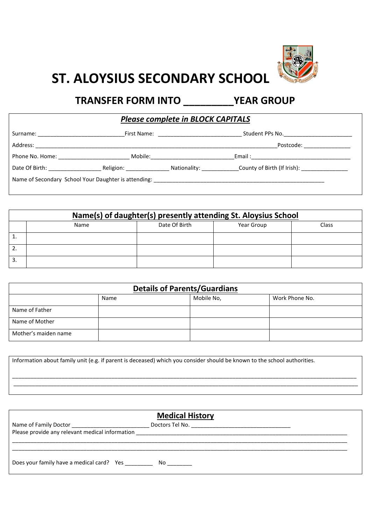

## **ST. ALOYSIUS SECONDARY SCHOOL**

## **TRANSFER FORM INTO \_\_\_\_\_\_\_\_\_YEAR GROUP**

*Please complete in BLOCK CAPITALS*

|                                   |                          |                            | Student PPs No. __________________________                                                                     |  |
|-----------------------------------|--------------------------|----------------------------|----------------------------------------------------------------------------------------------------------------|--|
| Address:                          |                          |                            | Postcode: will be a series of the series of the series of the series of the series of the series of the series |  |
| Phone No. Home: No. 1996          | Mobile:                  |                            |                                                                                                                |  |
| Date Of Birth: The Case of Birth: | Religion: ______________ | Nationality: _____________ | County of Birth (If Irish): [19] County of Birth (If Irish):                                                   |  |
|                                   |                          |                            | Name of Secondary School Your Daughter is attending:                                                           |  |

| Name(s) of daughter(s) presently attending St. Aloysius School |      |               |            |       |
|----------------------------------------------------------------|------|---------------|------------|-------|
|                                                                | Name | Date Of Birth | Year Group | Class |
| ⊥.                                                             |      |               |            |       |
| 2.                                                             |      |               |            |       |
| 3.                                                             |      |               |            |       |

| <b>Details of Parents/Guardians</b> |      |            |                |
|-------------------------------------|------|------------|----------------|
|                                     | Name | Mobile No, | Work Phone No. |
| Name of Father                      |      |            |                |
| Name of Mother                      |      |            |                |
| Mother's maiden name                |      |            |                |

Information about family unit (e.g. if parent is deceased) which you consider should be known to the school authorities. \_\_\_\_\_\_\_\_\_\_\_\_\_\_\_\_\_\_\_\_\_\_\_\_\_\_\_\_\_\_\_\_\_\_\_\_\_\_\_\_\_\_\_\_\_\_\_\_\_\_\_\_\_\_\_\_\_\_\_\_\_\_\_\_\_\_\_\_\_\_\_\_\_\_\_\_\_\_\_\_\_\_\_\_\_\_\_\_\_\_\_\_\_\_\_\_\_\_\_\_\_\_\_\_\_\_\_\_\_\_\_ \_\_\_\_\_\_\_\_\_\_\_\_\_\_\_\_\_\_\_\_\_\_\_\_\_\_\_\_\_\_\_\_\_\_\_\_\_\_\_\_\_\_\_\_\_\_\_\_\_\_\_\_\_\_\_\_\_\_\_\_\_\_\_\_\_\_\_\_\_\_\_\_\_\_\_\_\_\_\_\_\_\_\_\_\_\_\_\_\_\_\_\_\_\_\_\_\_\_\_\_\_\_\_\_\_\_\_\_\_\_\_

| <b>Medical History</b>                          |  |  |
|-------------------------------------------------|--|--|
|                                                 |  |  |
| Please provide any relevant medical information |  |  |
|                                                 |  |  |
|                                                 |  |  |
| Does your family have a medical card? Yes No    |  |  |